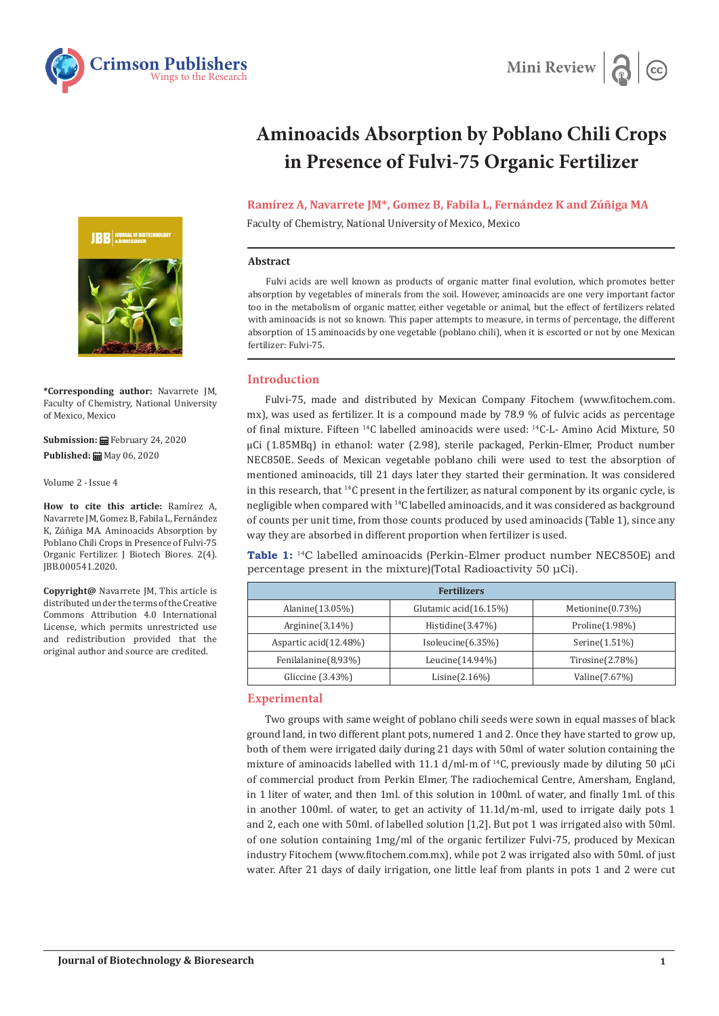



# **Aminoacids Absorption by Poblano Chili Crops in Presence of Fulvi-75 Organic Fertilizer**

# **Ramírez A, Navarrete JM\*, Gomez B, Fabila L, Fernández K and Zúñiga MA**

Faculty of Chemistry, National University of Mexico, Mexico

#### **Abstract**

Fulvi acids are well known as products of organic matter final evolution, which promotes better absorption by vegetables of minerals from the soil. However, aminoacids are one very important factor too in the metabolism of organic matter, either vegetable or animal, but the effect of fertilizers related with aminoacids is not so known. This paper attempts to measure, in terms of percentage, the different absorption of 15 aminoacids by one vegetable (poblano chili), when it is escorted or not by one Mexican fertilizer: Fulvi-75.

# **Introduction**

Fulvi-75, made and distributed by Mexican Company Fitochem (www.fitochem.com. mx), was used as fertilizer. It is a compound made by 78.9 % of fulvic acids as percentage of final mixture. Fifteen 14C labelled aminoacids were used: 14C-L- Amino Acid Mixture, 50 μCi (1.85MBq) in ethanol: water (2.98), sterile packaged, Perkin-Elmer, Product number NEC850E. Seeds of Mexican vegetable poblano chili were used to test the absorption of mentioned aminoacids, till 21 days later they started their germination. It was considered in this research, that 14C present in the fertilizer, as natural component by its organic cycle, is negligible when compared with 14C labelled aminoacids, and it was considered as background of counts per unit time, from those counts produced by used aminoacids (Table 1), since any way they are absorbed in different proportion when fertilizer is used.

**Table 1:** 14C labelled aminoacids (Perkin-Elmer product number NEC850E) and percentage present in the mixture)(Total Radioactivity 50 μCi).

| <b>Fertilizers</b>    |                       |                      |
|-----------------------|-----------------------|----------------------|
| Alanine $(13.05\%)$   | Glutamic acid(16.15%) | Metionine $(0.73\%)$ |
| Arginine $(3,14\%)$   | Histidine $(3.47%)$   | Proline $(1.98\%)$   |
| Aspartic acid(12.48%) | Isoleucine $(6.35\%)$ | Serine(1.51%)        |
| Fenilalanine(8,93%)   | Leucine $(14.94\%)$   | Tirosine(2.78%)      |
| Gliccine $(3.43\%)$   | Lisine $(2.16\%)$     | Valine (7.67%)       |

### **Experimental**

Two groups with same weight of poblano chili seeds were sown in equal masses of black ground land, in two different plant pots, numered 1 and 2. Once they have started to grow up, both of them were irrigated daily during 21 days with 50ml of water solution containing the mixture of aminoacids labelled with 11.1 d/ml-m of <sup>14</sup>C, previously made by diluting 50 µCi of commercial product from Perkin Elmer, The radiochemical Centre, Amersham, England, in 1 liter of water, and then 1ml. of this solution in 100ml. of water, and finally 1ml. of this in another 100ml. of water, to get an activity of 11.1d/m-ml, used to irrigate daily pots 1 and 2, each one with 50ml. of labelled solution [1,2]. But pot 1 was irrigated also with 50ml. of one solution containing 1mg/ml of the organic fertilizer Fulvi-75, produced by Mexican industry Fitochem (www.fitochem.com.mx), while pot 2 was irrigated also with 50ml. of just water. After 21 days of daily irrigation, one little leaf from plants in pots 1 and 2 were cut



**\*Corresponding author:** Navarrete JM, Faculty of Chemistry, National University of Mexico, Mexico

**Submission:** February 24, 2020 **Published:** May 06, 2020

Volume 2 - Issue 4

**How to cite this article:** Ramírez A, Navarrete JM, Gomez B, Fabila L, Fernández K, Zúñiga MA. Aminoacids Absorption by Poblano Chili Crops in Presence of Fulvi-75 Organic Fertilizer. J Biotech Biores. 2(4). JBB.000541.2020.

**Copyright@** Navarrete JM, This article is distributed under the terms of the Creative Commons Attribution 4.0 International License, which permits unrestricted use and redistribution provided that the original author and source are credited.